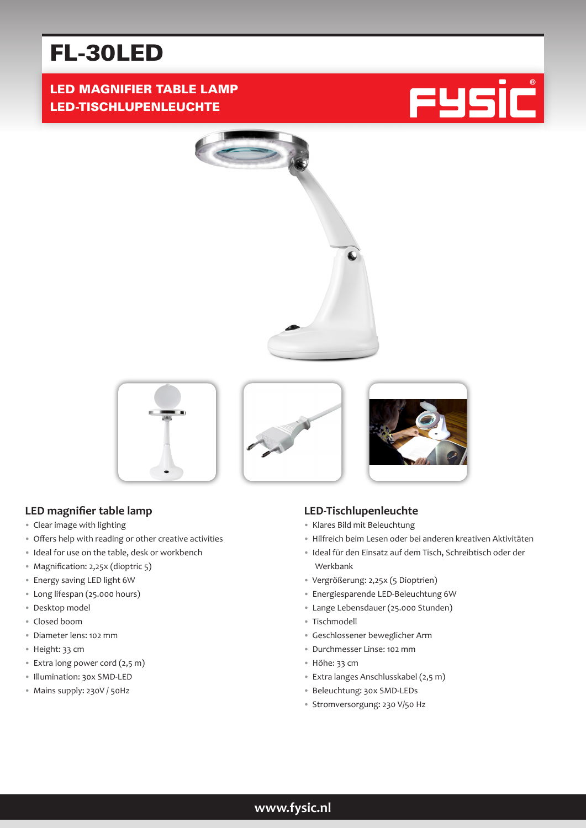# FL-30LED

## LED MAGNIFIER TABLE LAMP LED-TISCHLUPENLEUCHTE







## **LED magnifier table lamp**

- Clear image with lighting
- Offers help with reading or other creative activities
- Ideal for use on the table, desk or workbench
- Magnification: 2,25x (dioptric 5)
- Energy saving LED light 6W
- Long lifespan (25.000 hours)
- Desktop model
- Closed boom
- Diameter lens: 102 mm
- Height: 33 cm
- Extra long power cord (2,5 m)
- Illumination: 30x SMD-LED
- Mains supply: 230V / 50Hz

## **LED-Tischlupenleuchte**

- Klares Bild mit Beleuchtung
- Hilfreich beim Lesen oder bei anderen kreativen Aktivitäten
- Ideal für den Einsatz auf dem Tisch, Schreibtisch oder der Werkbank
- Vergrößerung: 2,25x (5 Dioptrien)
- Energiesparende LED-Beleuchtung 6W
- Lange Lebensdauer (25.000 Stunden)
- Tischmodell
- Geschlossener beweglicher Arm
- Durchmesser Linse: 102 mm
- Höhe: 33 cm
- Extra langes Anschlusskabel (2,5 m)
- Beleuchtung: 30x SMD-LEDs
- Stromversorgung: 230 V/50 Hz

## **www.fysic.nl**